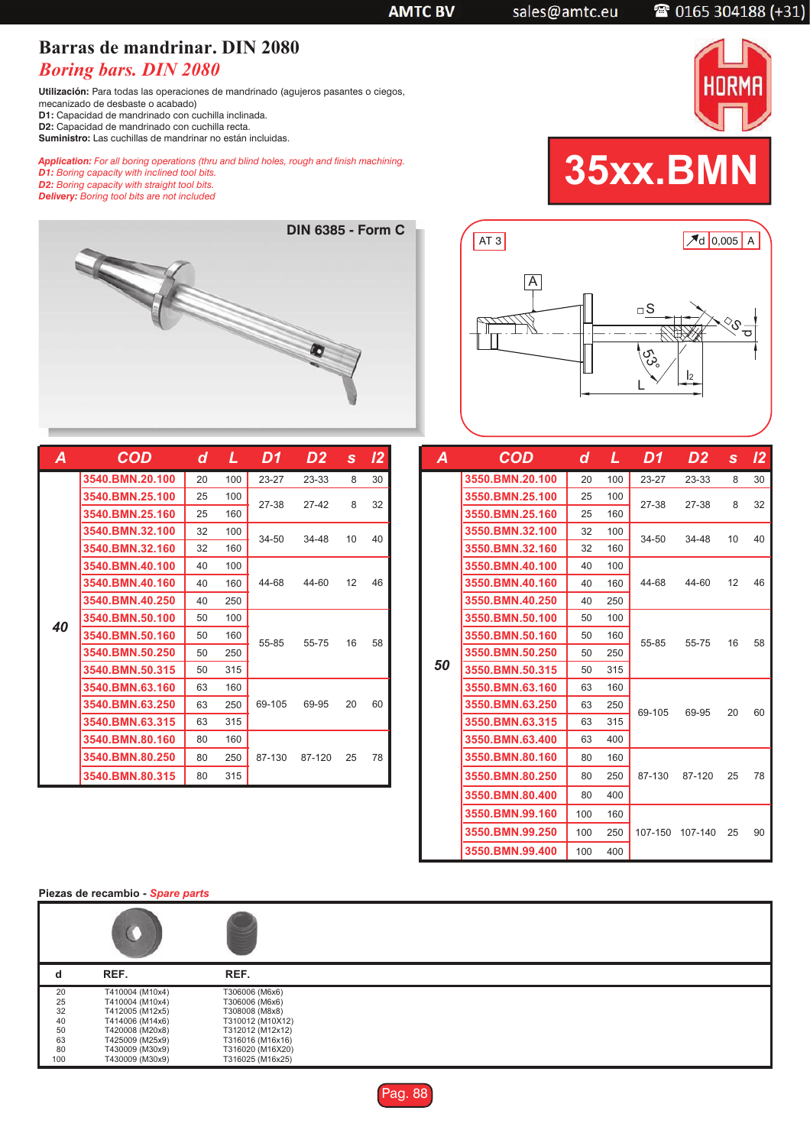## **Barras de mandrinar. DIN 2080** *Boring bars. DIN 2080*

**Utilización:** Para todas las operaciones de mandrinado (agujeros pasantes o ciegos,

mecanizado de desbaste o acabado) **D1:** Capacidad de mandrinado con cuchilla inclinada.

**D2:** Capacidad de mandrinado con cuchilla recta.

**Suministro:** Las cuchillas de mandrinar no están incluidas.

*Application: For all boring operations (thru and blind holes, rough and finish machining.*

*D1: Boring capacity with inclined tool bits. D2: Boring capacity with straight tool bits.*

## *Delivery: Boring tool bits are not included* **DIN 6385 - Form C**

| Α  | COD             | d  | L   | D1      | D <sub>2</sub> | S  | 12 |
|----|-----------------|----|-----|---------|----------------|----|----|
|    | 3540.BMN.20.100 | 20 | 100 | $23-27$ | 23-33          | 8  | 30 |
|    | 3540.BMN.25.100 | 25 | 100 | 27-38   | 27-42          | 8  | 32 |
|    | 3540.BMN.25.160 | 25 | 160 |         |                |    |    |
|    | 3540.BMN.32.100 | 32 | 100 | 34-50   | 34-48          | 10 | 40 |
|    | 3540.BMN.32.160 | 32 | 160 |         |                |    |    |
|    | 3540.BMN.40.100 | 40 | 100 |         |                |    |    |
|    | 3540.BMN.40.160 | 40 | 160 | 44-68   | 44-60          | 12 | 46 |
|    | 3540.BMN.40.250 | 40 | 250 |         |                |    |    |
| 40 | 3540.BMN.50.100 | 50 | 100 |         |                |    |    |
|    | 3540.BMN.50.160 | 50 | 160 | 55-85   | 55-75          | 16 | 58 |
|    | 3540.BMN.50.250 | 50 | 250 |         |                |    |    |
|    | 3540.BMN.50.315 | 50 | 315 |         |                |    |    |
|    | 3540.BMN.63.160 | 63 | 160 |         |                |    |    |
|    | 3540.BMN.63.250 | 63 | 250 | 69-105  | 69-95          | 20 | 60 |
|    | 3540.BMN.63.315 | 63 | 315 |         |                |    |    |
|    | 3540.BMN.80.160 | 80 | 160 |         |                |    |    |
|    | 3540.BMN.80.250 | 80 | 250 | 87-130  | 87-120         | 25 | 78 |
|    | 3540.BMN.80.315 | 80 | 315 |         |                |    |    |

| A  | COD             | d   | L   | D1.     | D <sub>2</sub> | S. | 12 |
|----|-----------------|-----|-----|---------|----------------|----|----|
|    | 3550.BMN.20.100 | 20  | 100 | 23-27   | 23-33          | 8  | 30 |
|    | 3550.BMN.25.100 | 25  | 100 | 27-38   | 27-38          | 8  | 32 |
|    | 3550.BMN.25.160 | 25  | 160 |         |                |    |    |
|    | 3550.BMN.32.100 | 32  | 100 | 34-50   | 34-48          | 10 | 40 |
|    | 3550.BMN.32.160 | 32  | 160 |         |                |    |    |
|    | 3550.BMN.40.100 | 40  | 100 |         |                |    |    |
|    | 3550.BMN.40.160 | 40  | 160 | 44-68   | 44-60          | 12 | 46 |
|    | 3550.BMN.40.250 | 40  | 250 |         |                |    |    |
|    | 3550.BMN.50.100 | 50  | 100 |         |                |    |    |
|    | 3550.BMN.50.160 | 50  | 160 | 55-85   | 55-75          | 16 | 58 |
| 50 | 3550.BMN.50.250 | 50  | 250 |         |                |    |    |
|    | 3550.BMN.50.315 | 50  | 315 |         |                |    |    |
|    | 3550.BMN.63.160 | 63  | 160 |         |                |    |    |
|    | 3550.BMN.63.250 | 63  | 250 | 69-105  | 69-95          | 20 | 60 |
|    | 3550.BMN.63.315 | 63  | 315 |         |                |    |    |
|    | 3550.BMN.63.400 | 63  | 400 |         |                |    |    |
|    | 3550.BMN.80.160 | 80  | 160 |         |                |    |    |
|    | 3550.BMN.80.250 | 80  | 250 | 87-130  | 87-120         | 25 | 78 |
|    | 3550.BMN.80.400 | 80  | 400 |         |                |    |    |
|    | 3550.BMN.99.160 | 100 | 160 |         |                |    |    |
|    | 3550.BMN.99.250 | 100 | 250 | 107-150 | 107-140        | 25 | 90 |
|    | 3550.BMN.99.400 | 100 | 400 |         |                |    |    |

**Piezas de recambio -** *Spare parts*

| a               | REF.            | REF.             |  |
|-----------------|-----------------|------------------|--|
| 20              | T410004 (M10x4) | T306006 (M6x6)   |  |
| $\frac{25}{32}$ | T410004 (M10x4) | T306006 (M6x6)   |  |
|                 | T412005 (M12x5) | T308008 (M8x8)   |  |
| 40              | T414006 (M14x6) | T310012 (M10X12) |  |
| 50              | T420008 (M20x8) | T312012 (M12x12) |  |
| 63              | T425009 (M25x9) | T316016 (M16x16) |  |
| 80              | T430009 (M30x9) | T316020 (M16X20) |  |
| 100             | T430009 (M30x9) | T316025 (M16x25) |  |





|                 | <b>THORMAI</b> |
|-----------------|----------------|
| <b>35xx.BMN</b> |                |



**AMTC BV** 

2 0165 304188 (+31)